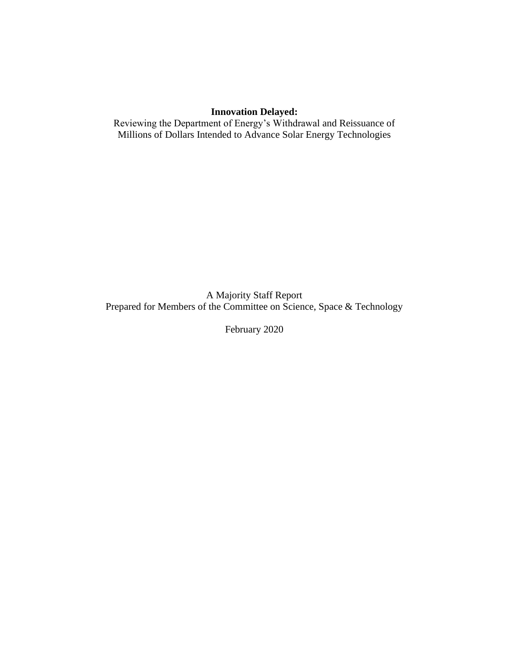# **Innovation Delayed:**

Reviewing the Department of Energy's Withdrawal and Reissuance of Millions of Dollars Intended to Advance Solar Energy Technologies

A Majority Staff Report Prepared for Members of the Committee on Science, Space & Technology

February 2020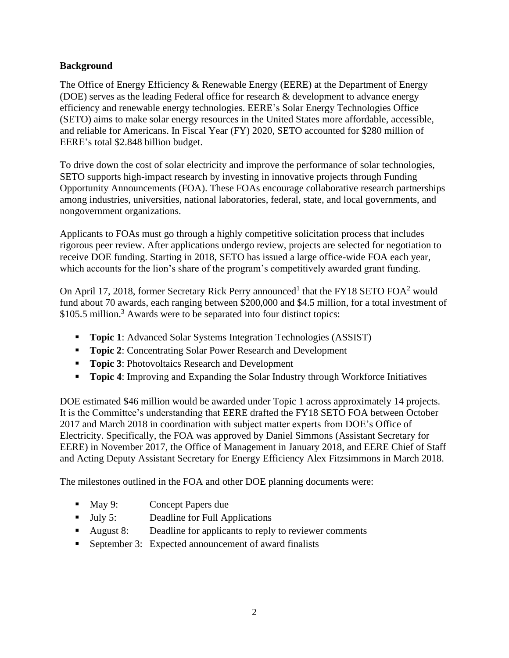## **Background**

The Office of Energy Efficiency & Renewable Energy (EERE) at the Department of Energy (DOE) serves as the leading Federal office for research & development to advance energy efficiency and renewable energy technologies. EERE's Solar Energy Technologies Office (SETO) aims to make solar energy resources in the United States more affordable, accessible, and reliable for Americans. In Fiscal Year (FY) 2020, SETO accounted for \$280 million of EERE's total \$2.848 billion budget.

To drive down the cost of solar electricity and improve the performance of solar technologies, SETO supports high-impact research by investing in innovative projects through Funding Opportunity Announcements (FOA). These FOAs encourage collaborative research partnerships among industries, universities, national laboratories, federal, state, and local governments, and nongovernment organizations.

Applicants to FOAs must go through a highly competitive solicitation process that includes rigorous peer review. After applications undergo review, projects are selected for negotiation to receive DOE funding. Starting in 2018, SETO has issued a large office-wide FOA each year, which accounts for the lion's share of the program's competitively awarded grant funding.

On April 17, 2018, former Secretary Rick Perry announced<sup>1</sup> that the FY18 SETO FOA<sup>2</sup> would fund about 70 awards, each ranging between \$200,000 and \$4.5 million, for a total investment of \$105.5 million.<sup>3</sup> Awards were to be separated into four distinct topics:

- **Topic 1:** Advanced Solar Systems Integration Technologies (ASSIST)
- **Topic 2**: Concentrating Solar Power Research and Development
- **Topic 3: Photovoltaics Research and Development**
- **Topic 4:** Improving and Expanding the Solar Industry through Workforce Initiatives

DOE estimated \$46 million would be awarded under Topic 1 across approximately 14 projects. It is the Committee's understanding that EERE drafted the FY18 SETO FOA between October 2017 and March 2018 in coordination with subject matter experts from DOE's Office of Electricity. Specifically, the FOA was approved by Daniel Simmons (Assistant Secretary for EERE) in November 2017, the Office of Management in January 2018, and EERE Chief of Staff and Acting Deputy Assistant Secretary for Energy Efficiency Alex Fitzsimmons in March 2018.

The milestones outlined in the FOA and other DOE planning documents were:

- May 9: Concept Papers due
- July 5: Deadline for Full Applications
- August 8: Deadline for applicants to reply to reviewer comments
- September 3: Expected announcement of award finalists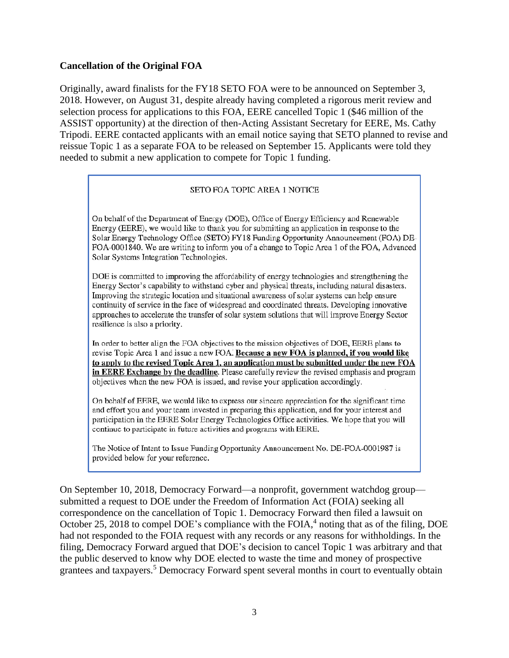### **Cancellation of the Original FOA**

Originally, award finalists for the FY18 SETO FOA were to be announced on September 3, 2018. However, on August 31, despite already having completed a rigorous merit review and selection process for applications to this FOA, EERE cancelled Topic 1 (\$46 million of the ASSIST opportunity) at the direction of then-Acting Assistant Secretary for EERE, Ms. Cathy Tripodi. EERE contacted applicants with an email notice saying that SETO planned to revise and reissue Topic 1 as a separate FOA to be released on September 15. Applicants were told they needed to submit a new application to compete for Topic 1 funding.

#### SETO FOA TOPIC AREA 1 NOTICE

On behalf of the Department of Energy (DOE), Office of Energy Efficiency and Renewable Energy (EERE), we would like to thank you for submitting an application in response to the Solar Energy Technology Office (SETO) FY18 Funding Opportunity Announcement (FOA) DE-FOA-0001840. We are writing to inform you of a change to Topic Area 1 of the FOA, Advanced Solar Systems Integration Technologies.

DOE is committed to improving the affordability of energy technologies and strengthening the Energy Sector's capability to withstand cyber and physical threats, including natural disasters. Improving the strategic location and situational awareness of solar systems can help ensure continuity of service in the face of widespread and coordinated threats. Developing innovative approaches to accelerate the transfer of solar system solutions that will improve Energy Sector resilience is also a priority.

In order to better align the FOA objectives to the mission objectives of DOE, EERE plans to revise Topic Area 1 and issue a new FOA. Because a new FOA is planned, if you would like to apply to the revised Topic Area 1, an application must be submitted under the new FOA in EERE Exchange by the deadline. Please carefully review the revised emphasis and program objectives when the new FOA is issued, and revise your application accordingly.

On behalf of EERE, we would like to express our sincere appreciation for the significant time and effort you and your team invested in preparing this application, and for your interest and participation in the EERE Solar Energy Technologies Office activities. We hope that you will continue to participate in future activities and programs with EERE.

The Notice of Intent to Issue Funding Opportunity Announcement No. DE-FOA-0001987 is provided below for your reference.

On September 10, 2018, Democracy Forward—a nonprofit, government watchdog group submitted a request to DOE under the Freedom of Information Act (FOIA) seeking all correspondence on the cancellation of Topic 1. Democracy Forward then filed a lawsuit on October 25, 2018 to compel DOE's compliance with the FOIA, $4$  noting that as of the filing, DOE had not responded to the FOIA request with any records or any reasons for withholdings. In the filing, Democracy Forward argued that DOE's decision to cancel Topic 1 was arbitrary and that the public deserved to know why DOE elected to waste the time and money of prospective grantees and taxpayers. <sup>5</sup> Democracy Forward spent several months in court to eventually obtain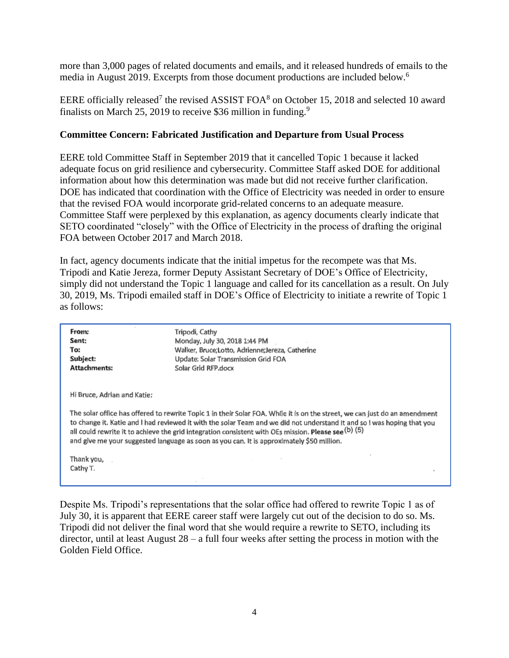more than 3,000 pages of related documents and emails, and it released hundreds of emails to the media in August 2019. Excerpts from those document productions are included below.<sup>6</sup>

EERE officially released<sup>7</sup> the revised ASSIST FOA<sup>8</sup> on October 15, 2018 and selected 10 award finalists on March 25, 2019 to receive \$36 million in funding.<sup>9</sup>

### **Committee Concern: Fabricated Justification and Departure from Usual Process**

EERE told Committee Staff in September 2019 that it cancelled Topic 1 because it lacked adequate focus on grid resilience and cybersecurity. Committee Staff asked DOE for additional information about how this determination was made but did not receive further clarification. DOE has indicated that coordination with the Office of Electricity was needed in order to ensure that the revised FOA would incorporate grid-related concerns to an adequate measure. Committee Staff were perplexed by this explanation, as agency documents clearly indicate that SETO coordinated "closely" with the Office of Electricity in the process of drafting the original FOA between October 2017 and March 2018.

In fact, agency documents indicate that the initial impetus for the recompete was that Ms. Tripodi and Katie Jereza, former Deputy Assistant Secretary of DOE's Office of Electricity, simply did not understand the Topic 1 language and called for its cancellation as a result. On July 30, 2019, Ms. Tripodi emailed staff in DOE's Office of Electricity to initiate a rewrite of Topic 1 as follows:

| From:                                     | Tripodi, Cathy                                                                                                                                                                                                                                                                                                                                                                                                                                             |
|-------------------------------------------|------------------------------------------------------------------------------------------------------------------------------------------------------------------------------------------------------------------------------------------------------------------------------------------------------------------------------------------------------------------------------------------------------------------------------------------------------------|
| Sent:                                     | Monday, July 30, 2018 1:44 PM                                                                                                                                                                                                                                                                                                                                                                                                                              |
| To:                                       | Walker, Bruce;Lotto, Adrienne;Jereza, Catherine                                                                                                                                                                                                                                                                                                                                                                                                            |
| Subject:                                  | Update: Solar Transmission Grid FOA                                                                                                                                                                                                                                                                                                                                                                                                                        |
| Attachments:                              | Solar Grid RFP.docx                                                                                                                                                                                                                                                                                                                                                                                                                                        |
| Hi Bruce, Adrian and Katie:<br>Thank you, | The solar office has offered to rewrite Topic 1 in their Solar FOA. While it is on the street, we can just do an amendment<br>to change it. Katie and I had reviewed it with the solar Team and we did not understand it and so I was hoping that you<br>all could rewrite it to achieve the grid integration consistent with OEs mission. Please see (b) (5)<br>and give me your suggested language as soon as you can. It is approximately \$50 million. |
| Cathy T.                                  |                                                                                                                                                                                                                                                                                                                                                                                                                                                            |

Despite Ms. Tripodi's representations that the solar office had offered to rewrite Topic 1 as of July 30, it is apparent that EERE career staff were largely cut out of the decision to do so. Ms. Tripodi did not deliver the final word that she would require a rewrite to SETO, including its director, until at least August 28 – a full four weeks after setting the process in motion with the Golden Field Office.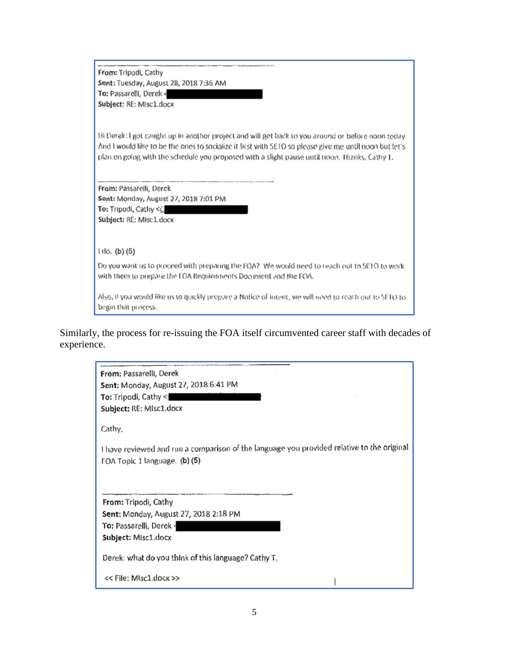From: Tripodi, Cathy Sent: Tuesday, August 28, 2018 7:36 AM To: Passarelli, Derek < Subject: RE: MIsc1.docx

Hi Derek: I got caught up in another project and will get back to you around or before noon today. And I would like to be the ones to socialize it first with SE10 so please give me until noon but let's plan on going with the schedule you proposed with a slight pause until noon. Thanks, Cathy 1.

From: Passarelli, Derek Sent: Monday, August 27, 2018 7:01 PM To: Tripodi, Cathy < Subject: RE: Misc1.docx

1 do. (b) (5)

Do you want us to proceed with preparing the FOA? We would heed to reach out to SETO to work. with them to prepare the FOA Requirements Document and the FOA.

Also, it you would like us to quickly pregive a Notice of Intent, we will need to reach out to SETO to begin that process.

Similarly, the process for re-issuing the FOA itself circumvented career staff with decades of experience.

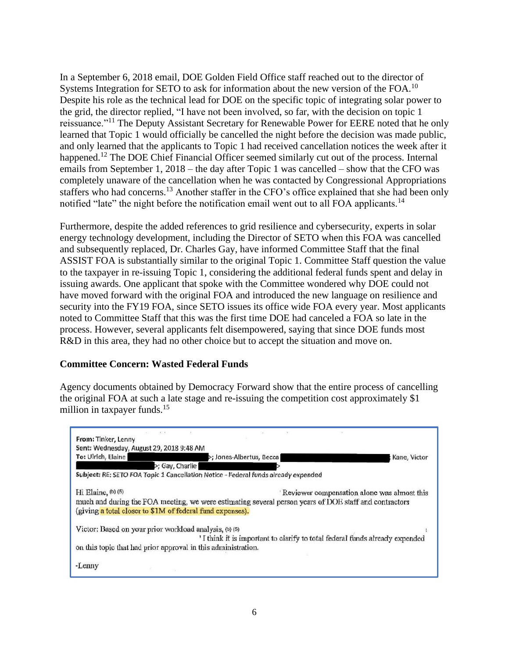In a September 6, 2018 email, DOE Golden Field Office staff reached out to the director of Systems Integration for SETO to ask for information about the new version of the FOA.<sup>10</sup> Despite his role as the technical lead for DOE on the specific topic of integrating solar power to the grid, the director replied, "I have not been involved, so far, with the decision on topic 1 reissuance."<sup>11</sup> The Deputy Assistant Secretary for Renewable Power for EERE noted that he only learned that Topic 1 would officially be cancelled the night before the decision was made public, and only learned that the applicants to Topic 1 had received cancellation notices the week after it happened.<sup>12</sup> The DOE Chief Financial Officer seemed similarly cut out of the process. Internal emails from September 1, 2018 – the day after Topic 1 was cancelled – show that the CFO was completely unaware of the cancellation when he was contacted by Congressional Appropriations staffers who had concerns.<sup>13</sup> Another staffer in the CFO's office explained that she had been only notified "late" the night before the notification email went out to all FOA applicants.<sup>14</sup>

Furthermore, despite the added references to grid resilience and cybersecurity, experts in solar energy technology development, including the Director of SETO when this FOA was cancelled and subsequently replaced, Dr. Charles Gay, have informed Committee Staff that the final ASSIST FOA is substantially similar to the original Topic 1. Committee Staff question the value to the taxpayer in re-issuing Topic 1, considering the additional federal funds spent and delay in issuing awards. One applicant that spoke with the Committee wondered why DOE could not have moved forward with the original FOA and introduced the new language on resilience and security into the FY19 FOA, since SETO issues its office wide FOA every year. Most applicants noted to Committee Staff that this was the first time DOE had canceled a FOA so late in the process. However, several applicants felt disempowered, saying that since DOE funds most R&D in this area, they had no other choice but to accept the situation and move on.

## **Committee Concern: Wasted Federal Funds**

Agency documents obtained by Democracy Forward show that the entire process of cancelling the original FOA at such a late stage and re-issuing the competition cost approximately \$1 million in taxpayer funds.<sup>15</sup>

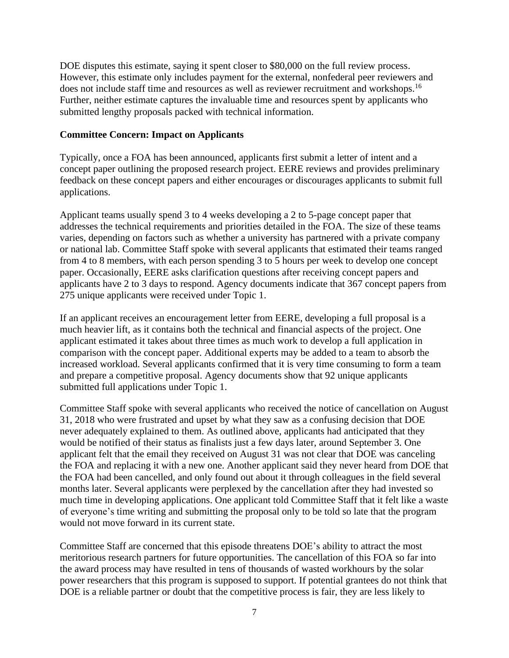DOE disputes this estimate, saying it spent closer to \$80,000 on the full review process. However, this estimate only includes payment for the external, nonfederal peer reviewers and does not include staff time and resources as well as reviewer recruitment and workshops.<sup>16</sup> Further, neither estimate captures the invaluable time and resources spent by applicants who submitted lengthy proposals packed with technical information.

### **Committee Concern: Impact on Applicants**

Typically, once a FOA has been announced, applicants first submit a letter of intent and a concept paper outlining the proposed research project. EERE reviews and provides preliminary feedback on these concept papers and either encourages or discourages applicants to submit full applications.

Applicant teams usually spend 3 to 4 weeks developing a 2 to 5-page concept paper that addresses the technical requirements and priorities detailed in the FOA. The size of these teams varies, depending on factors such as whether a university has partnered with a private company or national lab. Committee Staff spoke with several applicants that estimated their teams ranged from 4 to 8 members, with each person spending 3 to 5 hours per week to develop one concept paper. Occasionally, EERE asks clarification questions after receiving concept papers and applicants have 2 to 3 days to respond. Agency documents indicate that 367 concept papers from 275 unique applicants were received under Topic 1.

If an applicant receives an encouragement letter from EERE, developing a full proposal is a much heavier lift, as it contains both the technical and financial aspects of the project. One applicant estimated it takes about three times as much work to develop a full application in comparison with the concept paper. Additional experts may be added to a team to absorb the increased workload. Several applicants confirmed that it is very time consuming to form a team and prepare a competitive proposal. Agency documents show that 92 unique applicants submitted full applications under Topic 1.

Committee Staff spoke with several applicants who received the notice of cancellation on August 31, 2018 who were frustrated and upset by what they saw as a confusing decision that DOE never adequately explained to them. As outlined above, applicants had anticipated that they would be notified of their status as finalists just a few days later, around September 3. One applicant felt that the email they received on August 31 was not clear that DOE was canceling the FOA and replacing it with a new one. Another applicant said they never heard from DOE that the FOA had been cancelled, and only found out about it through colleagues in the field several months later. Several applicants were perplexed by the cancellation after they had invested so much time in developing applications. One applicant told Committee Staff that it felt like a waste of everyone's time writing and submitting the proposal only to be told so late that the program would not move forward in its current state.

Committee Staff are concerned that this episode threatens DOE's ability to attract the most meritorious research partners for future opportunities. The cancellation of this FOA so far into the award process may have resulted in tens of thousands of wasted workhours by the solar power researchers that this program is supposed to support. If potential grantees do not think that DOE is a reliable partner or doubt that the competitive process is fair, they are less likely to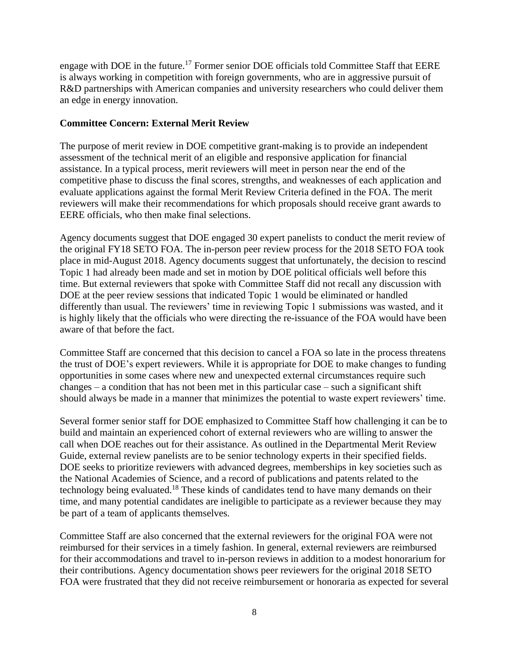engage with DOE in the future.<sup>17</sup> Former senior DOE officials told Committee Staff that EERE is always working in competition with foreign governments, who are in aggressive pursuit of R&D partnerships with American companies and university researchers who could deliver them an edge in energy innovation.

### **Committee Concern: External Merit Review**

The purpose of merit review in DOE competitive grant-making is to provide an independent assessment of the technical merit of an eligible and responsive application for financial assistance. In a typical process, merit reviewers will meet in person near the end of the competitive phase to discuss the final scores, strengths, and weaknesses of each application and evaluate applications against the formal Merit Review Criteria defined in the FOA. The merit reviewers will make their recommendations for which proposals should receive grant awards to EERE officials, who then make final selections.

Agency documents suggest that DOE engaged 30 expert panelists to conduct the merit review of the original FY18 SETO FOA. The in-person peer review process for the 2018 SETO FOA took place in mid-August 2018. Agency documents suggest that unfortunately, the decision to rescind Topic 1 had already been made and set in motion by DOE political officials well before this time. But external reviewers that spoke with Committee Staff did not recall any discussion with DOE at the peer review sessions that indicated Topic 1 would be eliminated or handled differently than usual. The reviewers' time in reviewing Topic 1 submissions was wasted, and it is highly likely that the officials who were directing the re-issuance of the FOA would have been aware of that before the fact.

Committee Staff are concerned that this decision to cancel a FOA so late in the process threatens the trust of DOE's expert reviewers. While it is appropriate for DOE to make changes to funding opportunities in some cases where new and unexpected external circumstances require such changes – a condition that has not been met in this particular case – such a significant shift should always be made in a manner that minimizes the potential to waste expert reviewers' time.

Several former senior staff for DOE emphasized to Committee Staff how challenging it can be to build and maintain an experienced cohort of external reviewers who are willing to answer the call when DOE reaches out for their assistance. As outlined in the Departmental Merit Review Guide, external review panelists are to be senior technology experts in their specified fields. DOE seeks to prioritize reviewers with advanced degrees, memberships in key societies such as the National Academies of Science, and a record of publications and patents related to the technology being evaluated.<sup>18</sup> These kinds of candidates tend to have many demands on their time, and many potential candidates are ineligible to participate as a reviewer because they may be part of a team of applicants themselves.

Committee Staff are also concerned that the external reviewers for the original FOA were not reimbursed for their services in a timely fashion. In general, external reviewers are reimbursed for their accommodations and travel to in-person reviews in addition to a modest honorarium for their contributions. Agency documentation shows peer reviewers for the original 2018 SETO FOA were frustrated that they did not receive reimbursement or honoraria as expected for several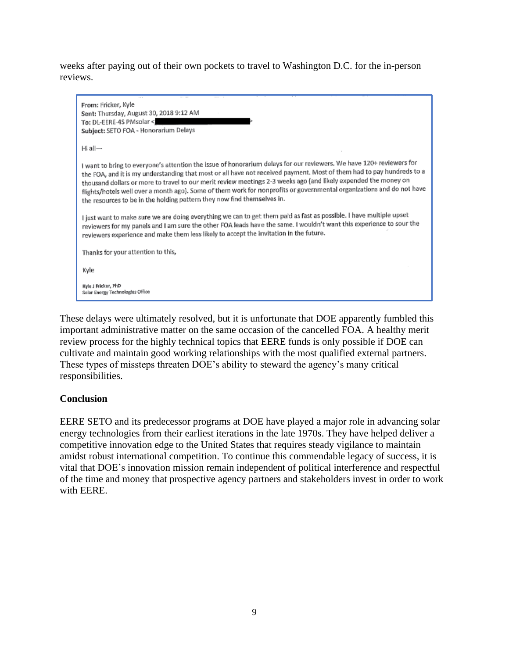weeks after paying out of their own pockets to travel to Washington D.C. for the in-person reviews.

| From: Fricker, Kyle                                                                                                                                                                                                                                                                                                                                                                                                                                                                                                                                                  |
|----------------------------------------------------------------------------------------------------------------------------------------------------------------------------------------------------------------------------------------------------------------------------------------------------------------------------------------------------------------------------------------------------------------------------------------------------------------------------------------------------------------------------------------------------------------------|
| Sent: Thursday, August 30, 2018 9:12 AM                                                                                                                                                                                                                                                                                                                                                                                                                                                                                                                              |
| To: DL-EERE-4S PMsolar <                                                                                                                                                                                                                                                                                                                                                                                                                                                                                                                                             |
| Subject: SETO FOA - Honorarium Delays                                                                                                                                                                                                                                                                                                                                                                                                                                                                                                                                |
|                                                                                                                                                                                                                                                                                                                                                                                                                                                                                                                                                                      |
| Hi all-                                                                                                                                                                                                                                                                                                                                                                                                                                                                                                                                                              |
| I want to bring to everyone's attention the issue of honorarium delays for our reviewers. We have 120+ reviewers for<br>the FOA, and it is my understanding that most or all have not received payment. Most of them had to pay hundreds to a<br>thousand dollars or more to travel to our merit review meetings 2-3 weeks ago (and likely expended the money on<br>flights/hotels well over a month ago). Some of them work for nonprofits or governmental organizations and do not have<br>the resources to be in the holding pattern they now find themselves in. |
| I just want to make sure we are doing everything we can to get them paid as fast as possible. I have multiple upset<br>reviewers for my panels and I am sure the other FOA leads have the same. I wouldn't want this experience to sour the<br>reviewers experience and make them less likely to accept the invitation in the future.                                                                                                                                                                                                                                |
| Thanks for your attention to this,                                                                                                                                                                                                                                                                                                                                                                                                                                                                                                                                   |
| Kyle                                                                                                                                                                                                                                                                                                                                                                                                                                                                                                                                                                 |
| Kyle J Fricker, PhD<br>Solar Energy Technologies Office                                                                                                                                                                                                                                                                                                                                                                                                                                                                                                              |

These delays were ultimately resolved, but it is unfortunate that DOE apparently fumbled this important administrative matter on the same occasion of the cancelled FOA. A healthy merit review process for the highly technical topics that EERE funds is only possible if DOE can cultivate and maintain good working relationships with the most qualified external partners. These types of missteps threaten DOE's ability to steward the agency's many critical responsibilities.

#### **Conclusion**

EERE SETO and its predecessor programs at DOE have played a major role in advancing solar energy technologies from their earliest iterations in the late 1970s. They have helped deliver a competitive innovation edge to the United States that requires steady vigilance to maintain amidst robust international competition. To continue this commendable legacy of success, it is vital that DOE's innovation mission remain independent of political interference and respectful of the time and money that prospective agency partners and stakeholders invest in order to work with EERE.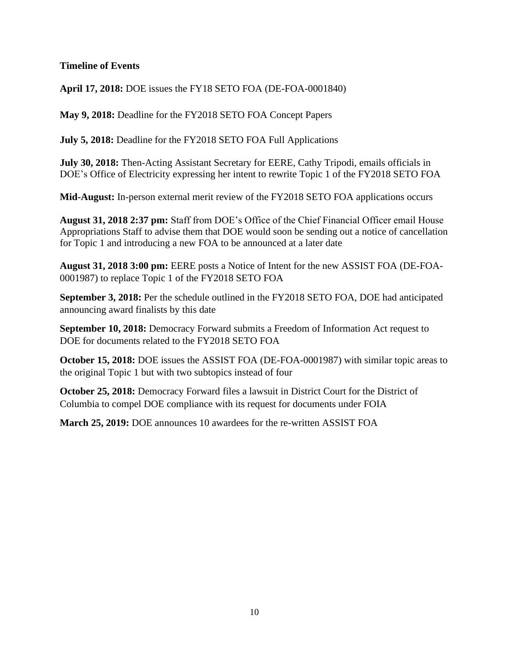### **Timeline of Events**

**April 17, 2018:** DOE issues the FY18 SETO FOA (DE-FOA-0001840)

**May 9, 2018:** Deadline for the FY2018 SETO FOA Concept Papers

**July 5, 2018:** Deadline for the FY2018 SETO FOA Full Applications

**July 30, 2018:** Then-Acting Assistant Secretary for EERE, Cathy Tripodi, emails officials in DOE's Office of Electricity expressing her intent to rewrite Topic 1 of the FY2018 SETO FOA

**Mid-August:** In-person external merit review of the FY2018 SETO FOA applications occurs

**August 31, 2018 2:37 pm:** Staff from DOE's Office of the Chief Financial Officer email House Appropriations Staff to advise them that DOE would soon be sending out a notice of cancellation for Topic 1 and introducing a new FOA to be announced at a later date

**August 31, 2018 3:00 pm:** EERE posts a Notice of Intent for the new ASSIST FOA (DE-FOA-0001987) to replace Topic 1 of the FY2018 SETO FOA

**September 3, 2018:** Per the schedule outlined in the FY2018 SETO FOA, DOE had anticipated announcing award finalists by this date

**September 10, 2018:** Democracy Forward submits a Freedom of Information Act request to DOE for documents related to the FY2018 SETO FOA

**October 15, 2018:** DOE issues the ASSIST FOA (DE-FOA-0001987) with similar topic areas to the original Topic 1 but with two subtopics instead of four

**October 25, 2018:** Democracy Forward files a lawsuit in District Court for the District of Columbia to compel DOE compliance with its request for documents under FOIA

**March 25, 2019:** DOE announces 10 awardees for the re-written ASSIST FOA